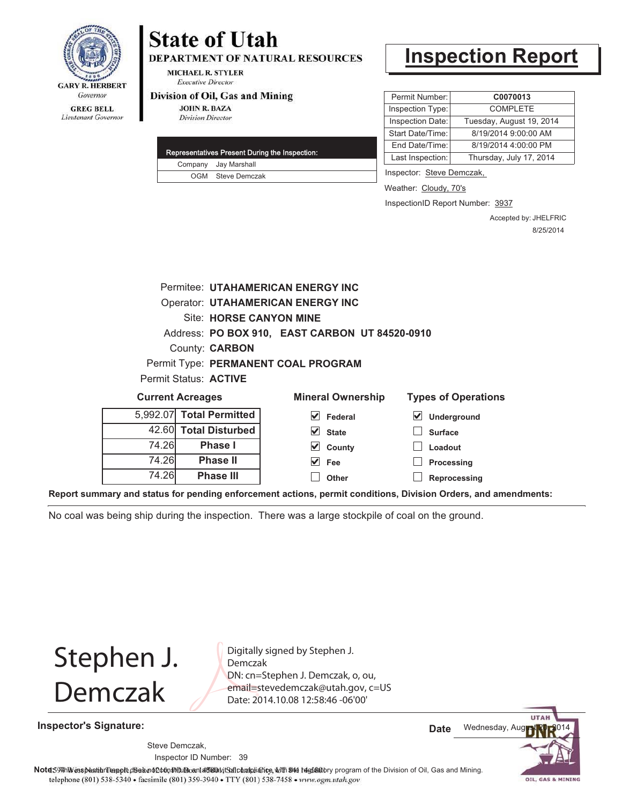

## **State of Utah DEPARTMENT OF NATURAL RESOURCES**

**MICHAEL R. STYLER Executive Director** 

#### Division of Oil, Gas and Mining

**JOHN R. BAZA Division Director** 

| Representatives Present During the Inspection: |                      |  |
|------------------------------------------------|----------------------|--|
|                                                | Company Jay Marshall |  |
|                                                | OGM Steve Demczak    |  |

# **Inspection Report**

| Permit Number:   | C0070013                 |  |  |
|------------------|--------------------------|--|--|
| Inspection Type: | <b>COMPI FTF</b>         |  |  |
| Inspection Date: | Tuesday, August 19, 2014 |  |  |
| Start Date/Time: | 8/19/2014 9:00:00 AM     |  |  |
| End Date/Time:   | 8/19/2014 4:00:00 PM     |  |  |
| Last Inspection: | Thursday, July 17, 2014  |  |  |

Inspector: Steve Demczak,

**Loadout Processing**

Weather: Cloudy, 70's

InspectionID Report Number: 3937

Accepted by: JHELFRIC 8/25/2014

|                                     |                          | <b>Permitee: UTAHAMERICAN ENERGY INC</b>       |                            |  |  |  |  |
|-------------------------------------|--------------------------|------------------------------------------------|----------------------------|--|--|--|--|
|                                     |                          | <b>Operator: UTAHAMERICAN ENERGY INC</b>       |                            |  |  |  |  |
|                                     | Site: HORSE CANYON MINE  |                                                |                            |  |  |  |  |
|                                     |                          | Address: PO BOX 910, EAST CARBON UT 84520-0910 |                            |  |  |  |  |
| County: <b>CARBON</b>               |                          |                                                |                            |  |  |  |  |
| Permit Type: PERMANENT COAL PROGRAM |                          |                                                |                            |  |  |  |  |
| Permit Status: ACTIVE               |                          |                                                |                            |  |  |  |  |
| <b>Current Acreages</b>             |                          | <b>Mineral Ownership</b>                       | <b>Types of Operations</b> |  |  |  |  |
|                                     | 5,992.07 Total Permitted | Federal                                        | Underground                |  |  |  |  |
|                                     | 42.60 Total Disturbed    | <b>State</b>                                   | <b>Surface</b>             |  |  |  |  |
| 74.26                               | <b>Phase I</b>           | ✓<br>County                                    | Loadout                    |  |  |  |  |

**County Fee**

 $\blacktriangledown$ 

**Reprocessing** 74.26 **Phase III Report summary and status for pending enforcement actions, permit conditions, Division Orders, and amendments: Other**

**Phase II**

No coal was being ship during the inspection. There was a large stockpile of coal on the ground.

Stephen J. Demczak

74.26

Digitally signed by Stephen J. Demczak DN: cn=Stephen J. Demczak, o, ou,

**Inspector's Signature:**

email=stevedemczak@utah.gov, c=US Date: 2014.10.08 12:58:46 -06'00'

> **UTAI** Wednesday, Aug **Date**

39 Inspector ID Number: Steve Demczak,

Note 59 This inspection report disean of constitution of affidavits flocateliating with the festivatory program of the Division of Oil, Gas and Mining. telephone (801) 538-5340 · facsimile (801) 359-3940 · TTY (801) 538-7458 · www.ogm.utah.gov

OIL, GAS & MINING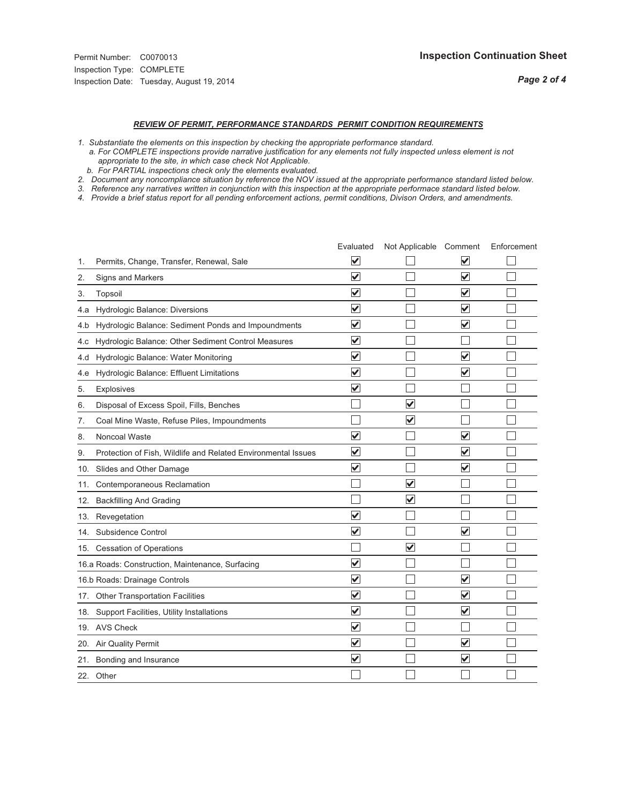*Page 2 of 4*

### *REVIEW OF PERMIT, PERFORMANCE STANDARDS PERMIT CONDITION REQUIREMENTS*

*1. Substantiate the elements on this inspection by checking the appropriate performance standard.*

 *a. For COMPLETE inspections provide narrative justification for any elements not fully inspected unless element is not appropriate to the site, in which case check Not Applicable.*

 *b. For PARTIAL inspections check only the elements evaluated.*

*2. Document any noncompliance situation by reference the NOV issued at the appropriate performance standard listed below.*

*3. Reference any narratives written in conjunction with this inspection at the appropriate performace standard listed below.*

*4. Provide a brief status report for all pending enforcement actions, permit conditions, Divison Orders, and amendments.*

|     |                                                               | Evaluated               | Not Applicable Comment  |                         | Enforcement |
|-----|---------------------------------------------------------------|-------------------------|-------------------------|-------------------------|-------------|
| 1.  | Permits, Change, Transfer, Renewal, Sale                      | V                       |                         | V                       |             |
| 2.  | <b>Signs and Markers</b>                                      | $\overline{\mathbf{v}}$ |                         | $\blacktriangledown$    |             |
| 3.  | Topsoil                                                       | $\overline{\mathbf{v}}$ |                         | $\overline{\mathbf{v}}$ |             |
| 4.a | Hydrologic Balance: Diversions                                | $\overline{\mathsf{v}}$ |                         | $\checkmark$            |             |
| 4.b | Hydrologic Balance: Sediment Ponds and Impoundments           | $\blacktriangledown$    |                         | $\blacktriangledown$    |             |
| 4.c | Hydrologic Balance: Other Sediment Control Measures           | $\checkmark$            |                         |                         |             |
| 4.d | Hydrologic Balance: Water Monitoring                          | $\overline{\mathbf{v}}$ |                         | $\blacktriangledown$    |             |
| 4.e | Hydrologic Balance: Effluent Limitations                      | $\overline{\mathbf{v}}$ |                         | $\overline{\mathbf{v}}$ |             |
| 5.  | <b>Explosives</b>                                             | $\overline{\mathbf{v}}$ |                         |                         |             |
| 6.  | Disposal of Excess Spoil, Fills, Benches                      |                         | $\blacktriangledown$    |                         |             |
| 7.  | Coal Mine Waste, Refuse Piles, Impoundments                   |                         | $\overline{\mathsf{v}}$ |                         |             |
| 8.  | Noncoal Waste                                                 | $\overline{\mathsf{v}}$ |                         | $\overline{\mathbf{v}}$ |             |
| 9.  | Protection of Fish, Wildlife and Related Environmental Issues | $\blacktriangledown$    |                         | $\blacktriangledown$    |             |
| 10. | Slides and Other Damage                                       | $\overline{\mathsf{v}}$ |                         | $\blacktriangledown$    |             |
| 11. | Contemporaneous Reclamation                                   |                         | $\blacktriangledown$    |                         |             |
| 12. | <b>Backfilling And Grading</b>                                |                         | $\overline{\mathbf{v}}$ |                         |             |
| 13. | Revegetation                                                  | $\overline{\mathbf{v}}$ |                         |                         |             |
| 14. | Subsidence Control                                            | $\overline{\mathbf{v}}$ |                         | $\overline{\mathbf{v}}$ |             |
|     | 15. Cessation of Operations                                   |                         | $\overline{\mathbf{v}}$ |                         |             |
|     | 16.a Roads: Construction, Maintenance, Surfacing              | $\overline{\mathsf{v}}$ |                         |                         |             |
|     | 16.b Roads: Drainage Controls                                 | $\blacktriangledown$    |                         | $\blacktriangledown$    |             |
| 17. | <b>Other Transportation Facilities</b>                        | $\overline{\mathbf{v}}$ |                         | $\overline{\mathbf{v}}$ |             |
| 18. | Support Facilities, Utility Installations                     | $\overline{\mathbf{v}}$ |                         | $\blacktriangledown$    |             |
|     | 19. AVS Check                                                 | $\overline{\mathsf{v}}$ |                         |                         |             |
| 20. | Air Quality Permit                                            | $\checkmark$            |                         | $\overline{\mathsf{v}}$ |             |
| 21. | Bonding and Insurance                                         | $\overline{\mathbf{v}}$ |                         | $\blacktriangledown$    |             |
|     | 22. Other                                                     |                         |                         |                         |             |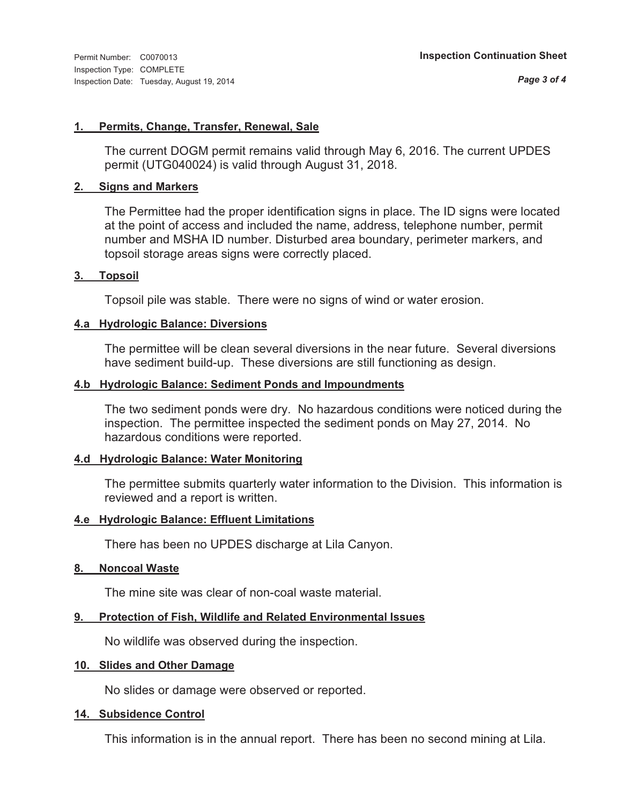#### **1. Permits, Change, Transfer, Renewal, Sale**

The current DOGM permit remains valid through May 6, 2016. The current UPDES permit (UTG040024) is valid through August 31, 2018.

#### **2. Signs and Markers**

The Permittee had the proper identification signs in place. The ID signs were located at the point of access and included the name, address, telephone number, permit number and MSHA ID number. Disturbed area boundary, perimeter markers, and topsoil storage areas signs were correctly placed.

#### **3. Topsoil**

Topsoil pile was stable. There were no signs of wind or water erosion.

#### **4.a Hydrologic Balance: Diversions**

The permittee will be clean several diversions in the near future. Several diversions have sediment build-up. These diversions are still functioning as design.

#### **4.b Hydrologic Balance: Sediment Ponds and Impoundments**

The two sediment ponds were dry. No hazardous conditions were noticed during the inspection. The permittee inspected the sediment ponds on May 27, 2014. No hazardous conditions were reported.

#### **4.d Hydrologic Balance: Water Monitoring**

The permittee submits quarterly water information to the Division. This information is reviewed and a report is written.

#### **4.e Hydrologic Balance: Effluent Limitations**

There has been no UPDES discharge at Lila Canyon.

#### **8. Noncoal Waste**

The mine site was clear of non-coal waste material.

#### **9. Protection of Fish, Wildlife and Related Environmental Issues**

No wildlife was observed during the inspection.

#### **10. Slides and Other Damage**

No slides or damage were observed or reported.

#### **14. Subsidence Control**

This information is in the annual report. There has been no second mining at Lila.